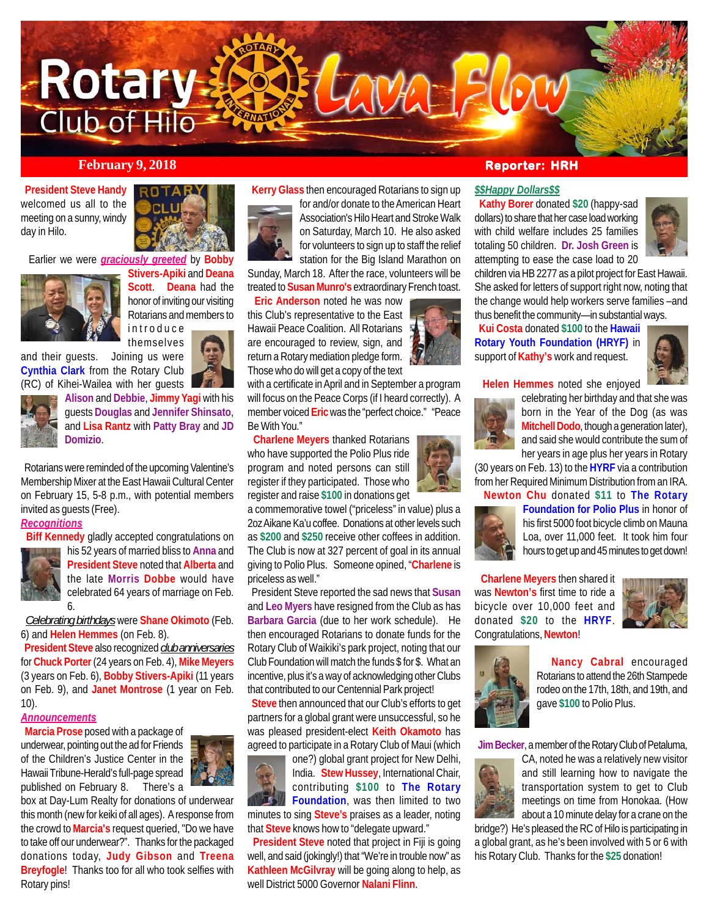

## **February 9, 2018 Reporter: HRH**

 **President Steve Handy** welcomed us all to the meeting on a sunny, windy day in Hilo.



Earlier we were *graciously greeted* by **Bobby**



**Stivers-Apiki** and **Deana Scott**. **Deana** had the honor of inviting our visiting Rotarians and members to introduce

themselves and their guests. Joining us were **Cynthia Clark** from the Rotary Club (RC) of Kihei-Wailea with her guests



**Alison** and **Debbie**, **Jimmy Yagi** with his guests **Douglas** and **Jennifer Shinsato**, and **Lisa Rantz** with **Patty Bray** and **JD Domizio**.

 Rotarians were reminded of the upcoming Valentine's Membership Mixer at the East Hawaii Cultural Center on February 15, 5-8 p.m., with potential members invited as guests (Free).

# *Recognitions*

6.

**Biff Kennedy** gladly accepted congratulations on



his 52 years of married bliss to **Anna** and **President Steve** noted that **Alberta** and the late **Morris Dobbe** would have celebrated 64 years of marriage on Feb.

 *Celebrating birthdays* were **Shane Okimoto** (Feb. 6) and **Helen Hemmes** (on Feb. 8).

 **President Steve** also recognized *club anniversaries* for **Chuck Porter** (24 years on Feb. 4), **Mike Meyers** (3 years on Feb. 6), **Bobby Stivers-Apiki** (11 years on Feb. 9), and **Janet Montrose** (1 year on Feb. 10).

#### *Announcements*

 **Marcia Prose** posed with a package of underwear, pointing out the ad for Friends of the Children's Justice Center in the Hawaii Tribune-Herald's full-page spread published on February 8. There's a



box at Day-Lum Realty for donations of underwear this month (new for keiki of all ages). A response from the crowd to **Marcia's** request queried, "Do we have to take off our underwear?". Thanks for the packaged donations today, **Judy Gibson** and **Treena Breyfogle**! Thanks too for all who took selfies with Rotary pins!



for and/or donate to the American Heart Association's Hilo Heart and Stroke Walk on Saturday, March 10. He also asked for volunteers to sign up to staff the relief station for the Big Island Marathon on

Sunday, March 18. After the race, volunteers will be treated to **Susan Munro's** extraordinary French toast.

**Eric Anderson** noted he was now

this Club's representative to the East Hawaii Peace Coalition. All Rotarians are encouraged to review, sign, and return a Rotary mediation pledge form. Those who do will get a copy of the text

with a certificate in April and in September a program will focus on the Peace Corps (if I heard correctly). A member voiced **Eric** was the "perfect choice." "Peace Be With You."

 **Charlene Meyers** thanked Rotarians who have supported the Polio Plus ride program and noted persons can still register if they participated. Those who register and raise **\$100** in donations get

a commemorative towel ("priceless" in value) plus a 2oz Aikane Ka'u coffee. Donations at other levels such as **\$200** and **\$250** receive other coffees in addition. The Club is now at 327 percent of goal in its annual giving to Polio Plus. Someone opined, "**Charlene** is priceless as well."

 President Steve reported the sad news that **Susan** and **Leo Myers** have resigned from the Club as has **Barbara Garcia** (due to her work schedule). He then encouraged Rotarians to donate funds for the Rotary Club of Waikiki's park project, noting that our Club Foundation will match the funds \$ for \$. What an incentive, plus it's a way of acknowledging other Clubs that contributed to our Centennial Park project!

 **Steve** then announced that our Club's efforts to get partners for a global grant were unsuccessful, so he was pleased president-elect **Keith Okamoto** has agreed to participate in a Rotary Club of Maui (which



one?) global grant project for New Delhi, India. **Stew Hussey**, International Chair, contributing **\$100** to **The Rotary Foundation**, was then limited to two minutes to sing **Steve's** praises as a leader, noting that **Steve** knows how to "delegate upward."

 **President Steve** noted that project in Fiji is going well, and said (jokingly!) that "We're in trouble now" as **Kathleen McGilvray** will be going along to help, as well District 5000 Governor **Nalani Flinn**.

### *\$\$Happy Dollars\$\$*

 **Kathy Borer** donated **\$20** (happy-sad dollars) to share that her case load working with child welfare includes 25 families totaling 50 children. **Dr. Josh Green** is attempting to ease the case load to 20



children via HB 2277 as a pilot project for East Hawaii. She asked for letters of support right now, noting that the change would help workers serve families –and thus benefit the community—in substantial ways.

 **Kui Costa** donated **\$100** to the **Hawaii Rotary Youth Foundation (HRYF)** in support of **Kathy's** work and request.



 **Helen Hemmes** noted she enjoyed



celebrating her birthday and that she was born in the Year of the Dog (as was **Mitchell Dodo**, though a generation later), and said she would contribute the sum of her years in age plus her years in Rotary

(30 years on Feb. 13) to the **HYRF** via a contribution from her Required Minimum Distribution from an IRA.

 **Newton Chu** donated **\$11** to **The Rotary**



**Foundation for Polio Plus** in honor of his first 5000 foot bicycle climb on Mauna Loa, over 11,000 feet. It took him four hours to get up and 45 minutes to get down!

 **Charlene Meyers** then shared it was **Newton's** first time to ride a bicycle over 10,000 feet and donated **\$20** to the **HRYF**. Congratulations, **Newton**!





 **Nancy Cabral** encouraged Rotarians to attend the 26th Stampede rodeo on the 17th, 18th, and 19th, and gave **\$100** to Polio Plus.

 **Jim Becker**, a member of the Rotary Club of Petaluma,



CA, noted he was a relatively new visitor and still learning how to navigate the transportation system to get to Club meetings on time from Honokaa. (How about a 10 minute delay for a crane on the

bridge?) He's pleased the RC of Hilo is participating in a global grant, as he's been involved with 5 or 6 with his Rotary Club. Thanks for the **\$25** donation!